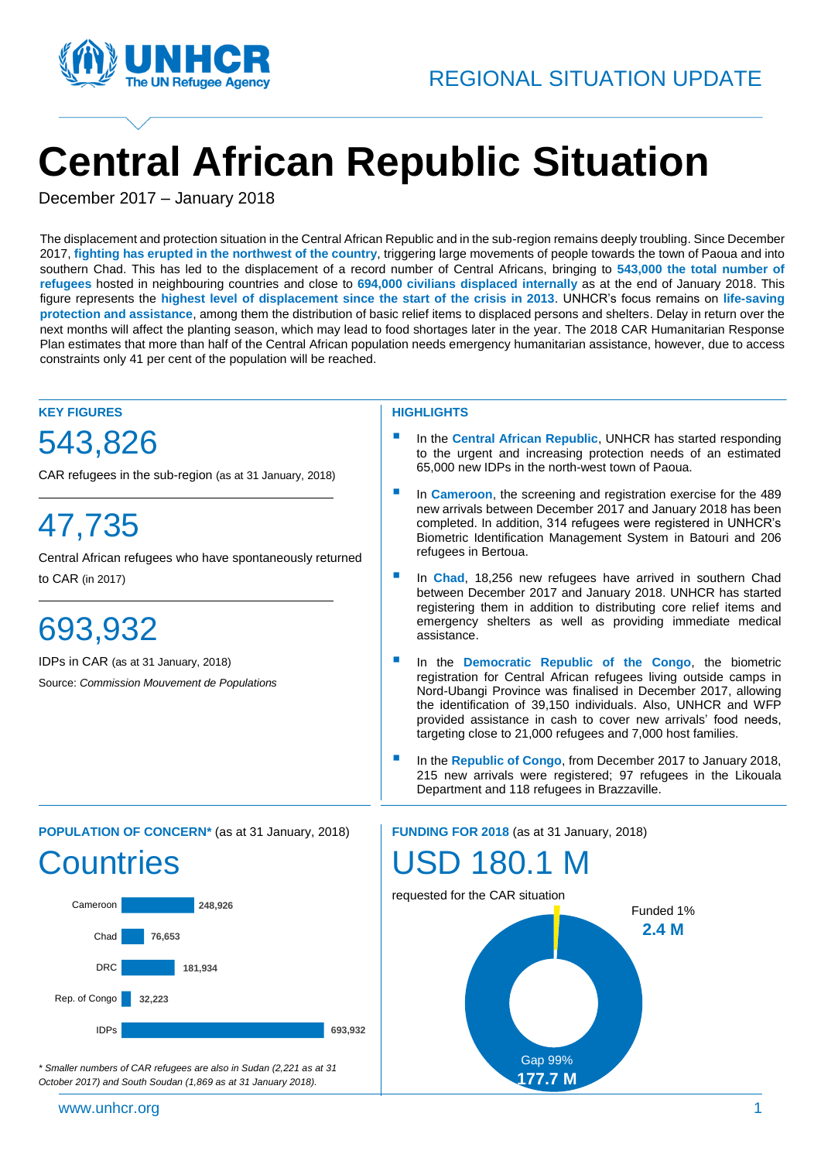

# **Central African Republic Situation**

December 2017 – January 2018

The displacement and protection situation in the Central African Republic and in the sub-region remains deeply troubling. Since December ( 2017, **fighting has erupted in the northwest of the country**, triggering large movements of people towards the town of Paoua and into southern Chad. This has led to the displacement of a record number of Central Africans, bringing to **543,000 the total number of refugees** hosted in neighbouring countries and close to **694,000 civilians displaced internally** as at the end of January 2018. This figure represents the **highest level of displacement since the start of the crisis in 2013**. UNHCR's focus remains on **life-saving protection and assistance**, among them the distribution of basic relief items to displaced persons and shelters. Delay in return over the next months will affect the planting season, which may lead to food shortages later in the year. The 2018 CAR Humanitarian Response Plan estimates that more than half of the Central African population needs emergency humanitarian assistance, however, due to access constraints only 41 per cent of the population will be reached.

#### **KEY FIGURES**

### 543,826

CAR refugees in the sub-region (as at 31 January, 2018)

# 47,735

Central African refugees who have spontaneously returned to CAR (in 2017)

## 693,932

IDPs in CAR (as at 31 January, 2018) Source: *Commission Mouvement de Populations*

#### **HIGHLIGHTS**

- In the **Central African Republic**, UNHCR has started responding to the urgent and increasing protection needs of an estimated 65,000 new IDPs in the north-west town of Paoua.
- In **Cameroon**, the screening and registration exercise for the 489 new arrivals between December 2017 and January 2018 has been completed. In addition, 314 refugees were registered in UNHCR's Biometric Identification Management System in Batouri and 206 refugees in Bertoua.
- In **Chad**, 18,256 new refugees have arrived in southern Chad between December 2017 and January 2018. UNHCR has started registering them in addition to distributing core relief items and emergency shelters as well as providing immediate medical assistance.
- In the **Democratic Republic of the Congo**, the biometric registration for Central African refugees living outside camps in Nord-Ubangi Province was finalised in December 2017, allowing the identification of 39,150 individuals. Also, UNHCR and WFP provided assistance in cash to cover new arrivals' food needs, targeting close to 21,000 refugees and 7,000 host families.
- In the **Republic of Congo**, from December 2017 to January 2018, 215 new arrivals were registered; 97 refugees in the Likouala Department and 118 refugees in Brazzaville.

**POPULATION OF CONCERN\*** (as at 31 January, 2018)

# **Countries**



*\* Smaller numbers of CAR refugees are also in Sudan (2,221 as at 31 October 2017) and South Soudan (1,869 as at 31 January 2018).*

**FUNDING FOR 2018** (as at 31 January, 2018)

### SD 180.1 M

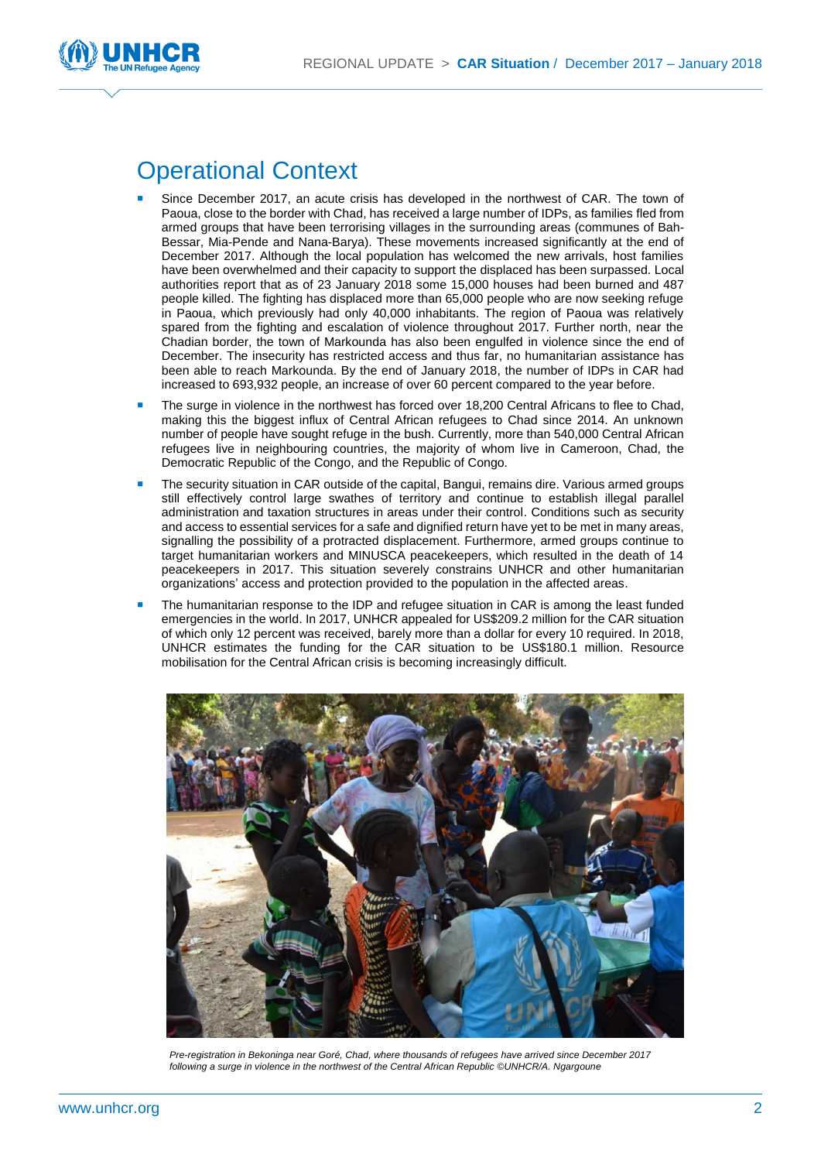

### Operational Context

- Since December 2017, an acute crisis has developed in the northwest of CAR. The town of Paoua, close to the border with Chad, has received a large number of IDPs, as families fled from armed groups that have been terrorising villages in the surrounding areas (communes of Bah-Bessar, Mia-Pende and Nana-Barya). These movements increased significantly at the end of December 2017. Although the local population has welcomed the new arrivals, host families have been overwhelmed and their capacity to support the displaced has been surpassed. Local authorities report that as of 23 January 2018 some 15,000 houses had been burned and 487 people killed. The fighting has displaced more than 65,000 people who are now seeking refuge in Paoua, which previously had only 40,000 inhabitants. The region of Paoua was relatively spared from the fighting and escalation of violence throughout 2017. Further north, near the Chadian border, the town of Markounda has also been engulfed in violence since the end of December. The insecurity has restricted access and thus far, no humanitarian assistance has been able to reach Markounda. By the end of January 2018, the number of IDPs in CAR had increased to 693,932 people, an increase of over 60 percent compared to the year before.
- The surge in violence in the northwest has forced over 18,200 Central Africans to flee to Chad, making this the biggest influx of Central African refugees to Chad since 2014. An unknown number of people have sought refuge in the bush. Currently, more than 540,000 Central African refugees live in neighbouring countries, the majority of whom live in Cameroon, Chad, the Democratic Republic of the Congo, and the Republic of Congo.
- The security situation in CAR outside of the capital, Bangui, remains dire. Various armed groups still effectively control large swathes of territory and continue to establish illegal parallel administration and taxation structures in areas under their control. Conditions such as security and access to essential services for a safe and dignified return have yet to be met in many areas, signalling the possibility of a protracted displacement. Furthermore, armed groups continue to target humanitarian workers and MINUSCA peacekeepers, which resulted in the death of 14 peacekeepers in 2017. This situation severely constrains UNHCR and other humanitarian organizations' access and protection provided to the population in the affected areas.
- The humanitarian response to the IDP and refugee situation in CAR is among the least funded emergencies in the world. In 2017, UNHCR appealed for US\$209.2 million for the CAR situation of which only 12 percent was received, barely more than a dollar for every 10 required. In 2018, UNHCR estimates the funding for the CAR situation to be US\$180.1 million. Resource mobilisation for the Central African crisis is becoming increasingly difficult.



*Pre-registration in Bekoninga near Goré, Chad, where thousands of refugees have arrived since December 2017 following a surge in violence in the northwest of the Central African Republic ©UNHCR/A. Ngargoune*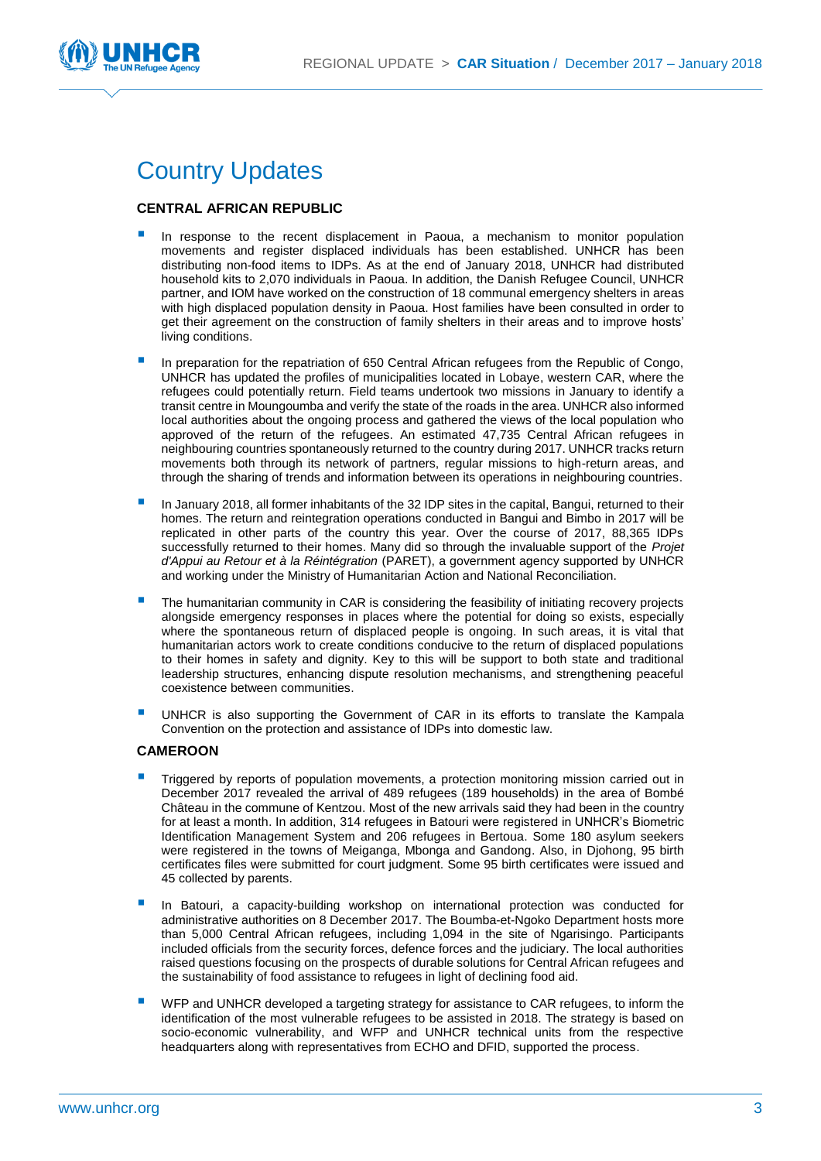

### Country Updates

#### **CENTRAL AFRICAN REPUBLIC**

- In response to the recent displacement in Paoua, a mechanism to monitor population movements and register displaced individuals has been established. UNHCR has been distributing non-food items to IDPs. As at the end of January 2018, UNHCR had distributed household kits to 2,070 individuals in Paoua. In addition, the Danish Refugee Council, UNHCR partner, and IOM have worked on the construction of 18 communal emergency shelters in areas with high displaced population density in Paoua. Host families have been consulted in order to get their agreement on the construction of family shelters in their areas and to improve hosts' living conditions.
- In preparation for the repatriation of 650 Central African refugees from the Republic of Congo, UNHCR has updated the profiles of municipalities located in Lobaye, western CAR, where the refugees could potentially return. Field teams undertook two missions in January to identify a transit centre in Moungoumba and verify the state of the roads in the area. UNHCR also informed local authorities about the ongoing process and gathered the views of the local population who approved of the return of the refugees. An estimated 47,735 Central African refugees in neighbouring countries spontaneously returned to the country during 2017. UNHCR tracks return movements both through its network of partners, regular missions to high-return areas, and through the sharing of trends and information between its operations in neighbouring countries.
- In January 2018, all former inhabitants of the 32 IDP sites in the capital, Bangui, returned to their homes. The return and reintegration operations conducted in Bangui and Bimbo in 2017 will be replicated in other parts of the country this year. Over the course of 2017, 88,365 IDPs successfully returned to their homes. Many did so through the invaluable support of the *Projet d'Appui au Retour et à la Réintégration* (PARET), a government agency supported by UNHCR and working under the Ministry of Humanitarian Action and National Reconciliation.
- The humanitarian community in CAR is considering the feasibility of initiating recovery projects alongside emergency responses in places where the potential for doing so exists, especially where the spontaneous return of displaced people is ongoing. In such areas, it is vital that humanitarian actors work to create conditions conducive to the return of displaced populations to their homes in safety and dignity. Key to this will be support to both state and traditional leadership structures, enhancing dispute resolution mechanisms, and strengthening peaceful coexistence between communities.
- UNHCR is also supporting the Government of CAR in its efforts to translate the Kampala Convention on the protection and assistance of IDPs into domestic law.

#### **CAMEROON**

- Triggered by reports of population movements, a protection monitoring mission carried out in December 2017 revealed the arrival of 489 refugees (189 households) in the area of Bombé Château in the commune of Kentzou. Most of the new arrivals said they had been in the country for at least a month. In addition, 314 refugees in Batouri were registered in UNHCR's Biometric Identification Management System and 206 refugees in Bertoua. Some 180 asylum seekers were registered in the towns of Meiganga, Mbonga and Gandong. Also, in Djohong, 95 birth certificates files were submitted for court judgment. Some 95 birth certificates were issued and 45 collected by parents.
- In Batouri, a capacity-building workshop on international protection was conducted for administrative authorities on 8 December 2017. The Boumba-et-Ngoko Department hosts more than 5,000 Central African refugees, including 1,094 in the site of Ngarisingo. Participants included officials from the security forces, defence forces and the judiciary. The local authorities raised questions focusing on the prospects of durable solutions for Central African refugees and the sustainability of food assistance to refugees in light of declining food aid.
- WFP and UNHCR developed a targeting strategy for assistance to CAR refugees, to inform the identification of the most vulnerable refugees to be assisted in 2018. The strategy is based on socio-economic vulnerability, and WFP and UNHCR technical units from the respective headquarters along with representatives from ECHO and DFID, supported the process.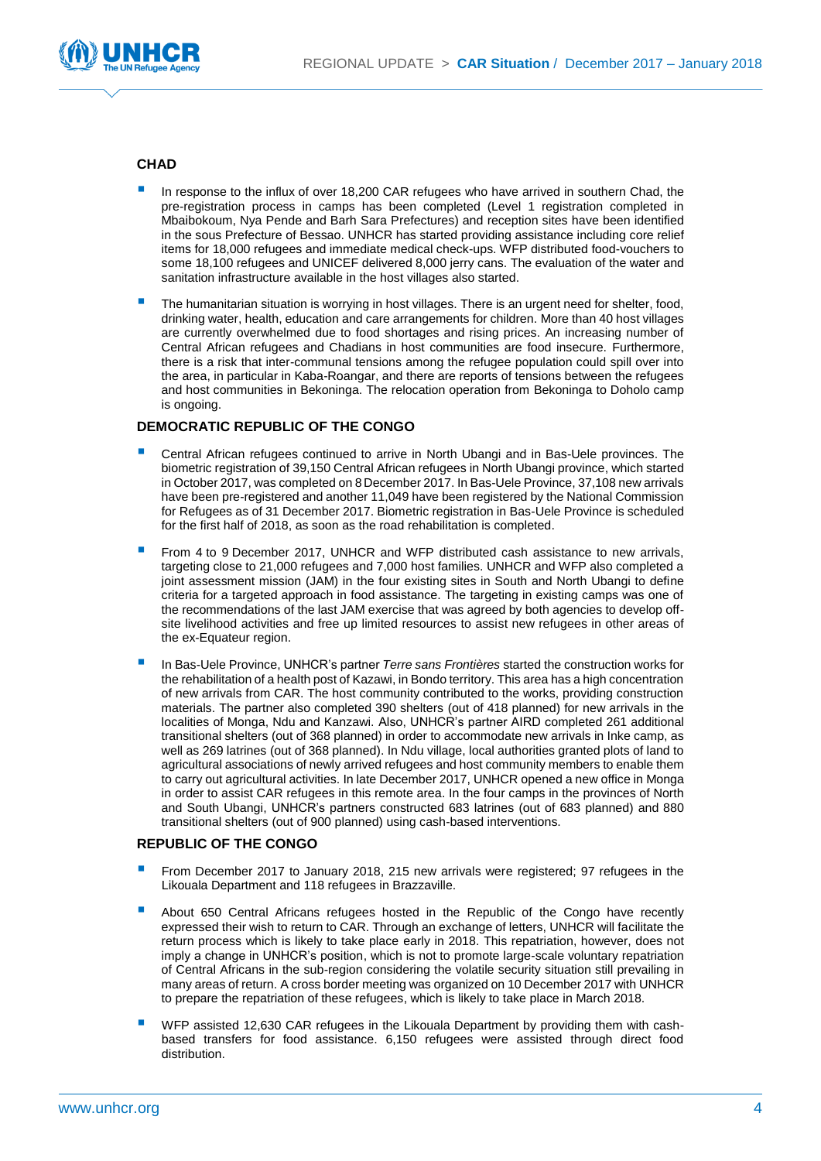

#### **CHAD**

- In response to the influx of over 18,200 CAR refugees who have arrived in southern Chad, the pre-registration process in camps has been completed (Level 1 registration completed in Mbaibokoum, Nya Pende and Barh Sara Prefectures) and reception sites have been identified in the sous Prefecture of Bessao. UNHCR has started providing assistance including core relief items for 18,000 refugees and immediate medical check-ups. WFP distributed food-vouchers to some 18,100 refugees and UNICEF delivered 8,000 jerry cans. The evaluation of the water and sanitation infrastructure available in the host villages also started.
- The humanitarian situation is worrying in host villages. There is an urgent need for shelter, food, drinking water, health, education and care arrangements for children. More than 40 host villages are currently overwhelmed due to food shortages and rising prices. An increasing number of Central African refugees and Chadians in host communities are food insecure. Furthermore, there is a risk that inter-communal tensions among the refugee population could spill over into the area, in particular in Kaba-Roangar, and there are reports of tensions between the refugees and host communities in Bekoninga. The relocation operation from Bekoninga to Doholo camp is ongoing.

#### **DEMOCRATIC REPUBLIC OF THE CONGO**

- Central African refugees continued to arrive in North Ubangi and in Bas-Uele provinces. The biometric registration of 39,150 Central African refugees in North Ubangi province, which started in October 2017, was completed on 8 December 2017. In Bas-Uele Province, 37,108 new arrivals have been pre-registered and another 11,049 have been registered by the National Commission for Refugees as of 31 December 2017. Biometric registration in Bas-Uele Province is scheduled for the first half of 2018, as soon as the road rehabilitation is completed.
- From 4 to 9 December 2017, UNHCR and WFP distributed cash assistance to new arrivals, targeting close to 21,000 refugees and 7,000 host families. UNHCR and WFP also completed a joint assessment mission (JAM) in the four existing sites in South and North Ubangi to define criteria for a targeted approach in food assistance. The targeting in existing camps was one of the recommendations of the last JAM exercise that was agreed by both agencies to develop offsite livelihood activities and free up limited resources to assist new refugees in other areas of the ex-Equateur region.
- In Bas-Uele Province, UNHCR's partner *Terre sans Frontières* started the construction works for the rehabilitation of a health post of Kazawi, in Bondo territory. This area has a high concentration of new arrivals from CAR. The host community contributed to the works, providing construction materials. The partner also completed 390 shelters (out of 418 planned) for new arrivals in the localities of Monga, Ndu and Kanzawi. Also, UNHCR's partner AIRD completed 261 additional transitional shelters (out of 368 planned) in order to accommodate new arrivals in Inke camp, as well as 269 latrines (out of 368 planned). In Ndu village, local authorities granted plots of land to agricultural associations of newly arrived refugees and host community members to enable them to carry out agricultural activities. In late December 2017, UNHCR opened a new office in Monga in order to assist CAR refugees in this remote area. In the four camps in the provinces of North and South Ubangi, UNHCR's partners constructed 683 latrines (out of 683 planned) and 880 transitional shelters (out of 900 planned) using cash-based interventions.

#### **REPUBLIC OF THE CONGO**

- From December 2017 to January 2018, 215 new arrivals were registered; 97 refugees in the Likouala Department and 118 refugees in Brazzaville.
- About 650 Central Africans refugees hosted in the Republic of the Congo have recently expressed their wish to return to CAR. Through an exchange of letters, UNHCR will facilitate the return process which is likely to take place early in 2018. This repatriation, however, does not imply a change in UNHCR's position, which is not to promote large-scale voluntary repatriation of Central Africans in the sub-region considering the volatile security situation still prevailing in many areas of return. A cross border meeting was organized on 10 December 2017 with UNHCR to prepare the repatriation of these refugees, which is likely to take place in March 2018.
- WFP assisted 12,630 CAR refugees in the Likouala Department by providing them with cashbased transfers for food assistance. 6,150 refugees were assisted through direct food distribution.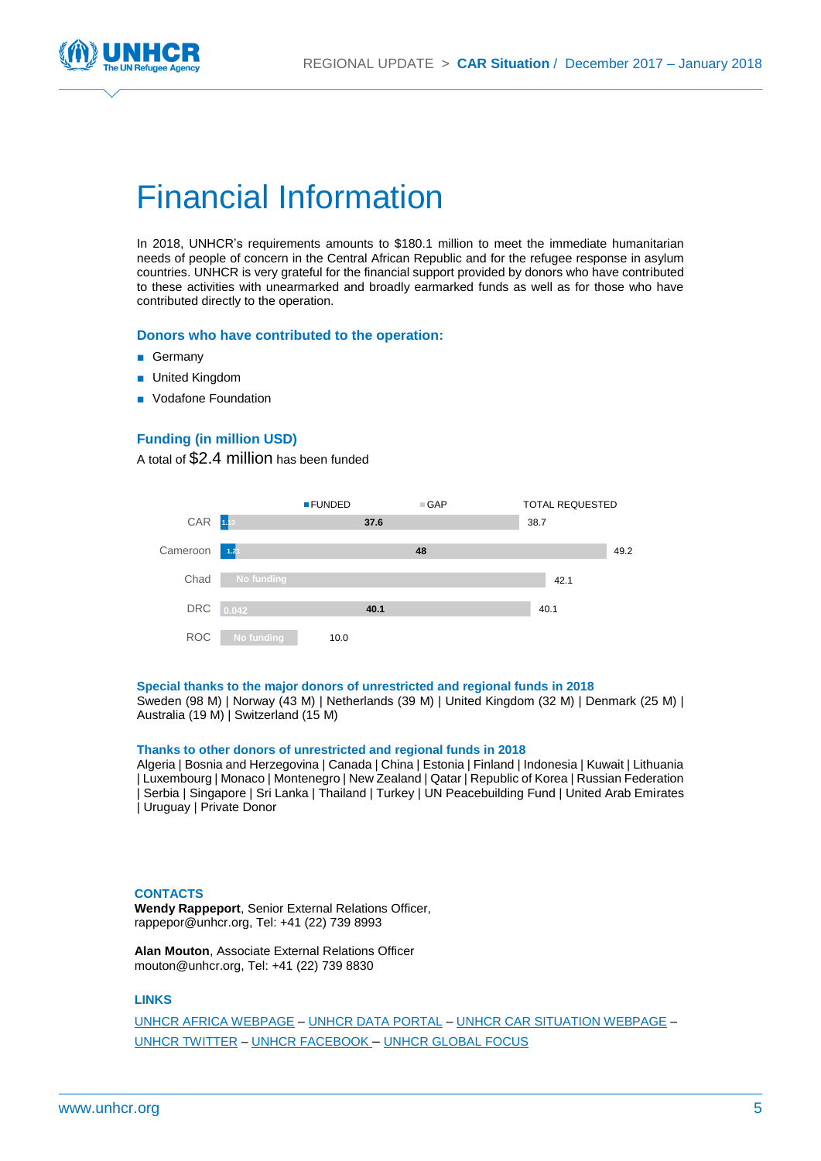

## Financial Information

In 2018, UNHCR's requirements amounts to \$180.1 million to meet the immediate humanitarian needs of people of concern in the Central African Republic and for the refugee response in asylum countries. UNHCR is very grateful for the financial support provided by donors who have contributed to these activities with unearmarked and broadly earmarked funds as well as for those who have contributed directly to the operation.

#### **Donors who have contributed to the operation:**

- Germany
- United Kingdom
- Vodafone Foundation

#### **Funding (in million USD)**

A total of \$2.4 million has been funded



#### **Special thanks to the major donors of unrestricted and regional funds in 2018**

Sweden (98 M) | Norway (43 M) | Netherlands (39 M) | United Kingdom (32 M) | Denmark (25 M) | Australia (19 M) | Switzerland (15 M)

#### **Thanks to other donors of unrestricted and regional funds in 2018**

Algeria | Bosnia and Herzegovina | Canada | China | Estonia | Finland | Indonesia | Kuwait | Lithuania | Luxembourg | Monaco | Montenegro | New Zealand | Qatar | Republic of Korea | Russian Federation | Serbia | Singapore | Sri Lanka | Thailand | Turkey | UN Peacebuilding Fund | United Arab Emirates | Uruguay | Private Donor

#### **CONTACTS**

**Wendy Rappeport**, Senior External Relations Officer, rappepor@unhcr.org, Tel: +41 (22) 739 8993

**Alan Mouton**, Associate External Relations Officer mouton@unhcr.org, Tel: +41 (22) 739 8830

#### **LINKS**

[UNHCR AFRICA WEBPAGE](http://www.unhcr.org/africa.html) – [UNHCR DATA PORTAL](http://data.unhcr.org/car/regional.php) – [UNHCR CAR SITUATION WEBPAGE](http://www.unhcr.org/car-emergency.html) – [UNHCR TWITTER](https://twitter.com/refugees) – [UNHCR FACEBOOK](https://www.facebook.com/UNHCR) – [UNHCR GLOBAL FOCUS](http://www.reporting.unhcr.org/)